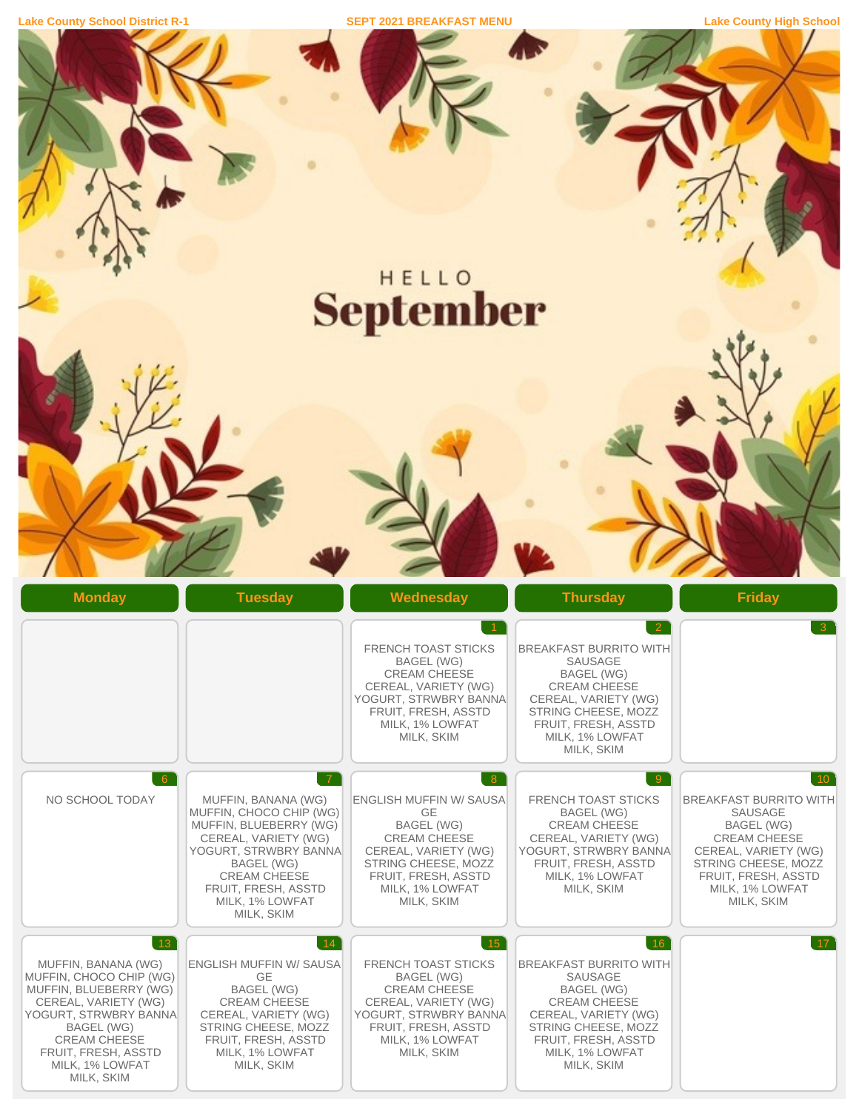**Lake County School District R-1 SEPT 2021 BREAKFAST MENU Lake County High School**

 $\mathcal{K}$ 

**AP** 

|                                                                                                                                                                                                                       |                                                                                                                                                                                                                                          | HELLO<br><b>September</b>                                                                                                                                                                    |                                                                                                                                                                                                                                  |                                                                                                                                                                                                                       |
|-----------------------------------------------------------------------------------------------------------------------------------------------------------------------------------------------------------------------|------------------------------------------------------------------------------------------------------------------------------------------------------------------------------------------------------------------------------------------|----------------------------------------------------------------------------------------------------------------------------------------------------------------------------------------------|----------------------------------------------------------------------------------------------------------------------------------------------------------------------------------------------------------------------------------|-----------------------------------------------------------------------------------------------------------------------------------------------------------------------------------------------------------------------|
|                                                                                                                                                                                                                       |                                                                                                                                                                                                                                          |                                                                                                                                                                                              |                                                                                                                                                                                                                                  |                                                                                                                                                                                                                       |
| <b>Monday</b>                                                                                                                                                                                                         | <b>Tuesday</b>                                                                                                                                                                                                                           | Wednesday<br><b>FRENCH TOAST STICKS</b><br><b>BAGEL (WG)</b><br><b>CREAM CHEESE</b><br>CEREAL, VARIETY (WG)<br>YOGURT, STRWBRY BANNA<br>FRUIT, FRESH, ASSTD<br>MILK, 1% LOWFAT<br>MILK, SKIM | <b>Thursday</b><br>$\overline{2}$<br><b>BREAKFAST BURRITO WITH</b><br>SAUSAGE<br><b>BAGEL (WG)</b><br><b>CREAM CHEESE</b><br>CEREAL, VARIETY (WG)<br>STRING CHEESE, MOZZ<br>FRUIT, FRESH, ASSTD<br>MILK, 1% LOWFAT<br>MILK, SKIM | <b>Friday</b><br>$\overline{3}$                                                                                                                                                                                       |
| $6^{\circ}$<br>NO SCHOOL TODAY                                                                                                                                                                                        | $\overline{7}$<br>MUFFIN, BANANA (WG)<br>MUFFIN, CHOCO CHIP (WG)<br>MUFFIN, BLUEBERRY (WG)<br>CEREAL, VARIETY (WG)<br>YOGURT, STRWBRY BANNA<br>BAGEL (WG)<br><b>CREAM CHEESE</b><br>FRUIT, FRESH, ASSTD<br>MILK, 1% LOWFAT<br>MILK, SKIM | 8<br><b>ENGLISH MUFFIN W/ SAUSA</b><br>GE<br>BAGEL (WG)<br><b>CREAM CHEESE</b><br>CEREAL, VARIETY (WG)<br>STRING CHEESE, MOZZ<br>FRUIT, FRESH, ASSTD<br>MILK, 1% LOWFAT<br>MILK, SKIM        | 9<br><b>FRENCH TOAST STICKS</b><br>BAGEL (WG)<br><b>CREAM CHEESE</b><br>CEREAL, VARIETY (WG)<br>YOGURT, STRWBRY BANNA<br>FRUIT, FRESH, ASSTD<br>MILK, 1% LOWFAT<br>MILK, SKIM                                                    | 10 <sup>°</sup><br><b>BREAKFAST BURRITO WITH</b><br><b>SAUSAGE</b><br><b>BAGEL (WG)</b><br><b>CREAM CHEESE</b><br>CEREAL, VARIETY (WG)<br>STRING CHEESE, MOZZ<br>FRUIT, FRESH, ASSTD<br>MILK, 1% LOWFAT<br>MILK, SKIM |
| 13<br>MUFFIN, BANANA (WG)<br>MUFFIN, CHOCO CHIP (WG)<br>MUFFIN, BLUEBERRY (WG)<br>CEREAL, VARIETY (WG)<br>YOGURT, STRWBRY BANNA<br>BAGEL (WG)<br>CREAM CHEESE<br>FRUIT, FRESH, ASSTD<br>MILK, 1% LOWFAT<br>MILK, SKIM | 14 <br><b>ENGLISH MUFFIN W/ SAUSA</b><br><b>GE</b><br>BAGEL (WG)<br><b>CREAM CHEESE</b><br>CEREAL, VARIETY (WG)<br>STRING CHEESE, MOZZ<br>FRUIT, FRESH, ASSTD<br>MILK, 1% LOWFAT<br>MILK, SKIM                                           | $15^{\circ}$<br><b>FRENCH TOAST STICKS</b><br>BAGEL (WG)<br><b>CREAM CHEESE</b><br>CEREAL, VARIETY (WG)<br>YOGURT, STRWBRY BANNA<br>FRUIT, FRESH, ASSTD<br>MILK, 1% LOWFAT<br>MILK, SKIM     | 16<br><b>BREAKFAST BURRITO WITH</b><br><b>SAUSAGE</b><br>BAGEL (WG)<br><b>CREAM CHEESE</b><br>CEREAL, VARIETY (WG)<br>STRING CHEESE, MOZZ<br>FRUIT, FRESH, ASSTD<br>MILK, 1% LOWFAT<br>MILK, SKIM                                | 17 <sup>2</sup>                                                                                                                                                                                                       |